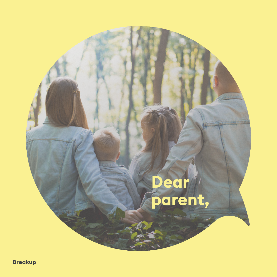### **Dear parent,**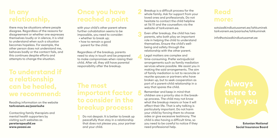#### **In any relationship,**

there may be situations where people disagree. Regardless of the reasons for disagreement or whether one expresses themselves loudly or in silence, it is vital to understand when such a situation becomes hopeless. For example, the other person does not understand me, behaves badly or the contact fails, and this continues despite efforts and attempts to change the situation.

# **To understand if a relationship can be healed,**

Reading information on the website **tarkvanem.ee/paarisuhe**

Contacting family therapists and mental health supporters by visiting such websites as **pereterapeudid.ee www.peaasi.ee** 

#### **Once you have reached a point**

with your child's other parent where further cohabitation seems to be impossible, you need to consider:

- whether to break up;
- how to remain a good parent for the child.

Regardless of the breakup, parents need to stay in touch and be prepared to make compromises when raising their child. After all, they still have parental responsibility after the breakup.

## **important factor to consider in the breakup process:**

**1** Do not despair. It is better to break up peacefully than stay in a relationship that does not please you, your partner and your child.

**2** Breakup is a difficult process for the whole family. Ask for support from your loved ones and professionals. Do not hesitate to contact the child helpline at 116 111 and the counsellors via the website of tarkvanem.ee.

**3** Even after breakup, the child has two parents, who both play an important role in helping the child to understand themselves. Ensure the child's wellbeing and safety through the relationship with the other parent.

**4** Legal matters are complex and<br>time-consuming. Prefer extrajudicial arrangements such as family mediation services where possible. We assist you in making the said arrangements. The aim of family mediation is not to reconcile or reunite spouses or partners who have broken up, but to seek cooperation as part of a parent-child relationship in a way that spares the child.

**5** Remember and keep in mind that<br>children are a priority also in the breakup process. The child may not know what the breakup means or how it will affect their life. That is why talking is particularly important. Do not harm your child by forcing them to choose sides or give excessive testimony. The child is also having a difficult time, so you need to be careful to notice if they need professional help.

# **more:**

sotsiaalkindlustusamet.ee/lahkuminek tarkvanem.ee/paarisuhe/lahkuminek

info@sotsiaalkindlustusamet.ee

**Estonian National Social Insurance Board**